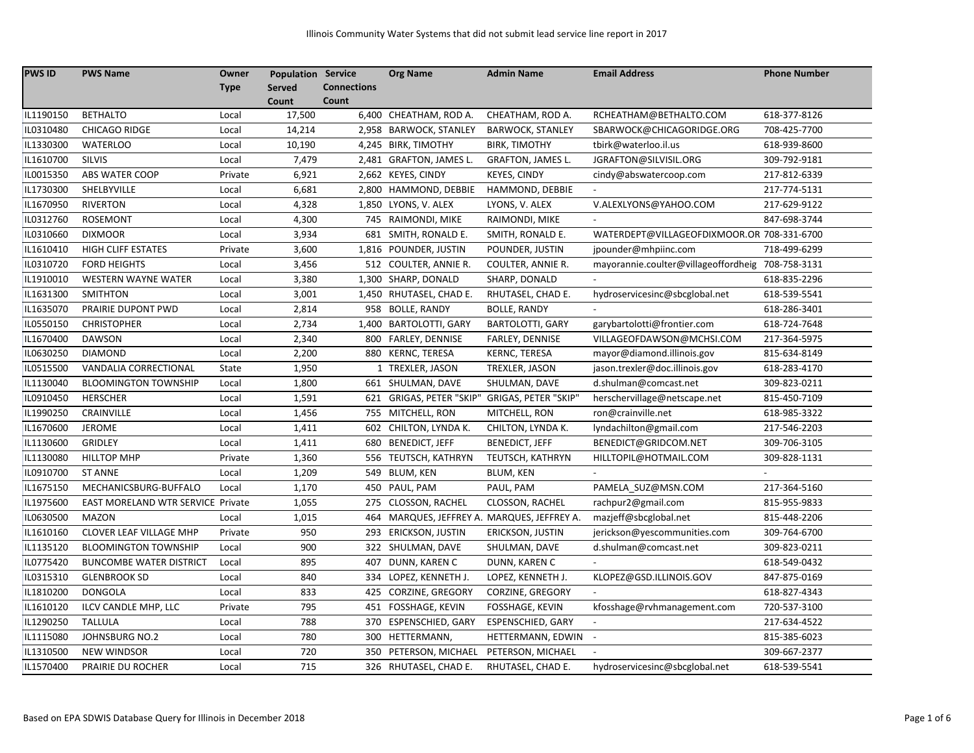| <b>PWS ID</b> | <b>PWS Name</b>                          | Owner       | <b>Population Service</b> |                    | <b>Org Name</b>                         | <b>Admin Name</b>                           | <b>Email Address</b>                              | <b>Phone Number</b> |
|---------------|------------------------------------------|-------------|---------------------------|--------------------|-----------------------------------------|---------------------------------------------|---------------------------------------------------|---------------------|
|               |                                          | <b>Type</b> | <b>Served</b>             | <b>Connections</b> |                                         |                                             |                                                   |                     |
|               |                                          |             | Count                     | Count              |                                         |                                             |                                                   |                     |
| IL1190150     | <b>BETHALTO</b>                          | Local       | 17,500                    |                    | 6,400 CHEATHAM, ROD A.                  | CHEATHAM, ROD A.                            | RCHEATHAM@BETHALTO.COM                            | 618-377-8126        |
| IL0310480     | <b>CHICAGO RIDGE</b>                     | Local       | 14,214                    |                    | 2,958 BARWOCK, STANLEY                  | <b>BARWOCK, STANLEY</b>                     | SBARWOCK@CHICAGORIDGE.ORG                         | 708-425-7700        |
| IL1330300     | <b>WATERLOO</b>                          | Local       | 10,190                    |                    | 4,245 BIRK, TIMOTHY                     | <b>BIRK, TIMOTHY</b>                        | tbirk@waterloo.il.us                              | 618-939-8600        |
| IL1610700     | <b>SILVIS</b>                            | Local       | 7,479                     |                    | 2,481 GRAFTON, JAMES L.                 | GRAFTON, JAMES L.                           | JGRAFTON@SILVISIL.ORG                             | 309-792-9181        |
| IL0015350     | ABS WATER COOP                           | Private     | 6,921                     |                    | 2,662 KEYES, CINDY                      | <b>KEYES, CINDY</b>                         | cindy@abswatercoop.com                            | 217-812-6339        |
| IL1730300     | SHELBYVILLE                              | Local       | 6,681                     |                    | 2,800 HAMMOND, DEBBIE                   | HAMMOND, DEBBIE                             |                                                   | 217-774-5131        |
| IL1670950     | <b>RIVERTON</b>                          | Local       | 4,328                     |                    | 1,850 LYONS, V. ALEX                    | LYONS, V. ALEX                              | V.ALEXLYONS@YAHOO.COM                             | 217-629-9122        |
| IL0312760     | <b>ROSEMONT</b>                          | Local       | 4,300                     |                    | 745 RAIMONDI, MIKE                      | RAIMONDI, MIKE                              |                                                   | 847-698-3744        |
| IL0310660     | <b>DIXMOOR</b>                           | Local       | 3,934                     |                    | 681 SMITH, RONALD E.                    | SMITH, RONALD E.                            | WATERDEPT@VILLAGEOFDIXMOOR.OR 708-331-6700        |                     |
| IL1610410     | <b>HIGH CLIFF ESTATES</b>                | Private     | 3,600                     |                    | 1,816 POUNDER, JUSTIN                   | POUNDER, JUSTIN                             | jpounder@mhpiinc.com                              | 718-499-6299        |
| IL0310720     | <b>FORD HEIGHTS</b>                      | Local       | 3,456                     |                    | 512 COULTER, ANNIE R.                   | <b>COULTER, ANNIE R.</b>                    | mayorannie.coulter@villageoffordheig 708-758-3131 |                     |
| IL1910010     | <b>WESTERN WAYNE WATER</b>               | Local       | 3,380                     |                    | 1,300 SHARP, DONALD                     | SHARP, DONALD                               |                                                   | 618-835-2296        |
| IL1631300     | <b>SMITHTON</b>                          | Local       | 3,001                     |                    | 1,450 RHUTASEL, CHAD E.                 | RHUTASEL, CHAD E.                           | hydroservicesinc@sbcglobal.net                    | 618-539-5541        |
| IL1635070     | PRAIRIE DUPONT PWD                       | Local       | 2,814                     | 958                | <b>BOLLE, RANDY</b>                     | <b>BOLLE, RANDY</b>                         |                                                   | 618-286-3401        |
| IL0550150     | <b>CHRISTOPHER</b>                       | Local       | 2,734                     | 1,400              | <b>BARTOLOTTI, GARY</b>                 | <b>BARTOLOTTI, GARY</b>                     | garybartolotti@frontier.com                       | 618-724-7648        |
| IL1670400     | <b>DAWSON</b>                            | Local       | 2,340                     | 800                | FARLEY, DENNISE                         | FARLEY, DENNISE                             | VILLAGEOFDAWSON@MCHSI.COM                         | 217-364-5975        |
| IL0630250     | <b>DIAMOND</b>                           | Local       | 2,200                     |                    | 880 KERNC, TERESA                       | <b>KERNC, TERESA</b>                        | mayor@diamond.illinois.gov                        | 815-634-8149        |
| IL0515500     | VANDALIA CORRECTIONAL                    | State       | 1,950                     |                    | 1 TREXLER, JASON                        | TREXLER, JASON                              | jason.trexler@doc.illinois.gov                    | 618-283-4170        |
| IL1130040     | <b>BLOOMINGTON TOWNSHIP</b>              | Local       | 1,800                     |                    | 661 SHULMAN, DAVE                       | SHULMAN, DAVE                               | d.shulman@comcast.net                             | 309-823-0211        |
| IL0910450     | <b>HERSCHER</b>                          | Local       | 1,591                     |                    | 621 GRIGAS, PETER "SKIP"                | GRIGAS, PETER "SKIP"                        | herschervillage@netscape.net                      | 815-450-7109        |
| IL1990250     | CRAINVILLE                               | Local       | 1,456                     |                    | 755 MITCHELL, RON                       | MITCHELL, RON                               | ron@crainville.net                                | 618-985-3322        |
| IL1670600     | <b>JEROME</b>                            | Local       | 1,411                     | 602                | CHILTON, LYNDA K.                       | CHILTON, LYNDA K.                           | lyndachilton@gmail.com                            | 217-546-2203        |
| IL1130600     | <b>GRIDLEY</b>                           | Local       | 1,411                     | 680                | <b>BENEDICT, JEFF</b>                   | <b>BENEDICT, JEFF</b>                       | BENEDICT@GRIDCOM.NET                              | 309-706-3105        |
| IL1130080     | <b>HILLTOP MHP</b>                       | Private     | 1,360                     |                    | 556 TEUTSCH, KATHRYN                    | TEUTSCH, KATHRYN                            | HILLTOPIL@HOTMAIL.COM                             | 309-828-1131        |
| IL0910700     | <b>ST ANNE</b>                           | Local       | 1,209                     |                    | 549 BLUM, KEN                           | <b>BLUM, KEN</b>                            |                                                   |                     |
| IL1675150     | MECHANICSBURG-BUFFALO                    | Local       | 1,170                     | 450                | PAUL, PAM                               | PAUL, PAM                                   | PAMELA_SUZ@MSN.COM                                | 217-364-5160        |
| IL1975600     | <b>EAST MORELAND WTR SERVICE Private</b> |             | 1,055                     | 275                | <b>CLOSSON, RACHEL</b>                  | CLOSSON, RACHEL                             | rachpur2@gmail.com                                | 815-955-9833        |
| IL0630500     | <b>MAZON</b>                             | Local       | 1,015                     |                    |                                         | 464 MARQUES, JEFFREY A. MARQUES, JEFFREY A. | mazjeff@sbcglobal.net                             | 815-448-2206        |
| IL1610160     | CLOVER LEAF VILLAGE MHP                  | Private     | 950                       |                    | 293 ERICKSON, JUSTIN                    | ERICKSON, JUSTIN                            | jerickson@yescommunities.com                      | 309-764-6700        |
| IL1135120     | <b>BLOOMINGTON TOWNSHIP</b>              | Local       | 900                       |                    | 322 SHULMAN, DAVE                       | SHULMAN, DAVE                               | d.shulman@comcast.net                             | 309-823-0211        |
| IL0775420     | <b>BUNCOMBE WATER DISTRICT</b>           | Local       | 895                       |                    | 407 DUNN, KAREN C                       | DUNN, KAREN C                               |                                                   | 618-549-0432        |
| IL0315310     | <b>GLENBROOK SD</b>                      | Local       | 840                       |                    | 334 LOPEZ, KENNETH J.                   | LOPEZ, KENNETH J.                           | KLOPEZ@GSD.ILLINOIS.GOV                           | 847-875-0169        |
| IL1810200     | <b>DONGOLA</b>                           | Local       | 833                       | 425                | <b>CORZINE, GREGORY</b>                 | <b>CORZINE, GREGORY</b>                     |                                                   | 618-827-4343        |
| IL1610120     | ILCV CANDLE MHP, LLC                     | Private     | 795                       |                    | 451 FOSSHAGE, KEVIN                     | FOSSHAGE, KEVIN                             | kfosshage@rvhmanagement.com                       | 720-537-3100        |
| IL1290250     | <b>TALLULA</b>                           | Local       | 788                       |                    | 370 ESPENSCHIED, GARY                   | <b>ESPENSCHIED, GARY</b>                    |                                                   | 217-634-4522        |
| IL1115080     | <b>JOHNSBURG NO.2</b>                    | Local       | 780                       |                    | 300 HETTERMANN,                         | HETTERMANN, EDWIN                           | $\overline{\phantom{a}}$                          | 815-385-6023        |
| IL1310500     | <b>NEW WINDSOR</b>                       | Local       | 720                       |                    | 350 PETERSON, MICHAEL PETERSON, MICHAEL |                                             |                                                   | 309-667-2377        |
| IL1570400     | PRAIRIE DU ROCHER                        | Local       | 715                       |                    | 326 RHUTASEL, CHAD E.                   | RHUTASEL, CHAD E.                           | hydroservicesinc@sbcglobal.net                    | 618-539-5541        |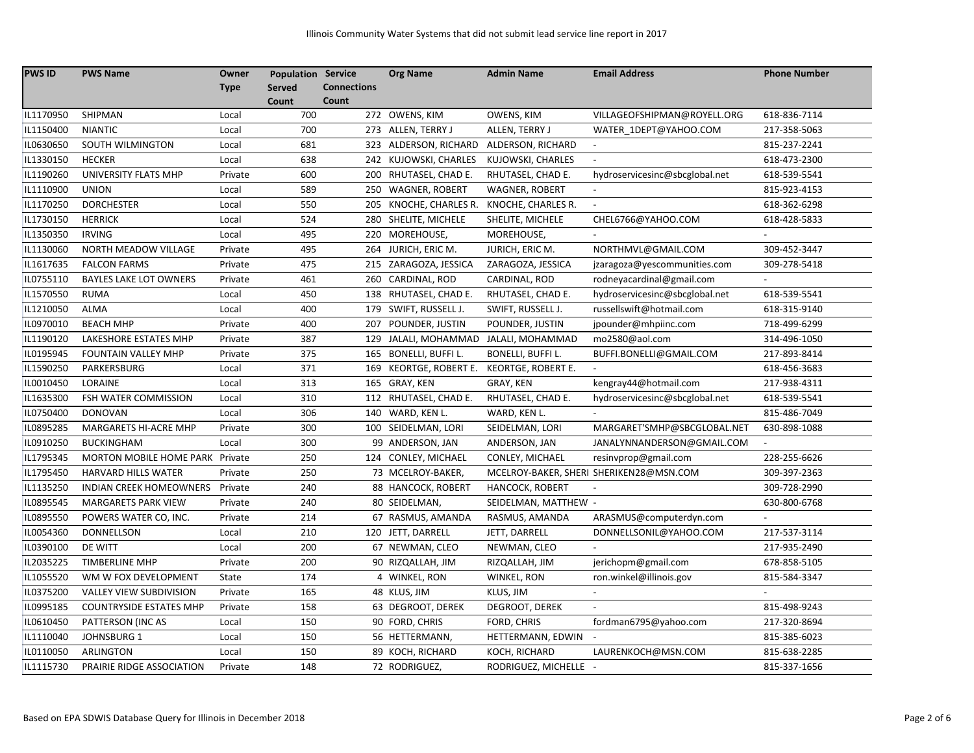| <b>PWS ID</b> | <b>PWS Name</b>                 | Owner       | <b>Population Service</b> |                    | <b>Org Name</b>        | <b>Admin Name</b>        | <b>Email Address</b>                    | <b>Phone Number</b> |
|---------------|---------------------------------|-------------|---------------------------|--------------------|------------------------|--------------------------|-----------------------------------------|---------------------|
|               |                                 | <b>Type</b> | <b>Served</b>             | <b>Connections</b> |                        |                          |                                         |                     |
|               |                                 |             | Count                     | Count              |                        |                          |                                         |                     |
| IL1170950     | SHIPMAN                         | Local       | 700                       |                    | 272 OWENS, KIM         | OWENS, KIM               | VILLAGEOFSHIPMAN@ROYELL.ORG             | 618-836-7114        |
| IL1150400     | <b>NIANTIC</b>                  | Local       | 700                       |                    | 273 ALLEN, TERRY J     | ALLEN, TERRY J           | WATER 1DEPT@YAHOO.COM                   | 217-358-5063        |
| IL0630650     | SOUTH WILMINGTON                | Local       | 681                       |                    | 323 ALDERSON, RICHARD  | ALDERSON, RICHARD        |                                         | 815-237-2241        |
| IL1330150     | <b>HECKER</b>                   | Local       | 638                       |                    | 242 KUJOWSKI, CHARLES  | KUJOWSKI, CHARLES        | $\blacksquare$                          | 618-473-2300        |
| IL1190260     | UNIVERSITY FLATS MHP            | Private     | 600                       | 200                | RHUTASEL, CHAD E.      | RHUTASEL, CHAD E.        | hydroservicesinc@sbcglobal.net          | 618-539-5541        |
| IL1110900     | <b>UNION</b>                    | Local       | 589                       |                    | 250 WAGNER, ROBERT     | <b>WAGNER, ROBERT</b>    |                                         | 815-923-4153        |
| IL1170250     | <b>DORCHESTER</b>               | Local       | 550                       |                    | 205 KNOCHE, CHARLES R. | KNOCHE, CHARLES R.       | $\overline{\phantom{a}}$                | 618-362-6298        |
| IL1730150     | <b>HERRICK</b>                  | Local       | 524                       |                    | 280 SHELITE, MICHELE   | SHELITE, MICHELE         | CHEL6766@YAHOO.COM                      | 618-428-5833        |
| IL1350350     | <b>IRVING</b>                   | Local       | 495                       |                    | 220 MOREHOUSE,         | MOREHOUSE,               |                                         |                     |
| IL1130060     | <b>NORTH MEADOW VILLAGE</b>     | Private     | 495                       |                    | 264 JURICH, ERIC M.    | JURICH, ERIC M.          | NORTHMVL@GMAIL.COM                      | 309-452-3447        |
| IL1617635     | <b>FALCON FARMS</b>             | Private     | 475                       |                    | 215 ZARAGOZA, JESSICA  | ZARAGOZA, JESSICA        | jzaragoza@yescommunities.com            | 309-278-5418        |
| IL0755110     | <b>BAYLES LAKE LOT OWNERS</b>   | Private     | 461                       |                    | 260 CARDINAL, ROD      | CARDINAL, ROD            | rodneyacardinal@gmail.com               |                     |
| IL1570550     | <b>RUMA</b>                     | Local       | 450                       |                    | 138 RHUTASEL, CHAD E.  | RHUTASEL, CHAD E.        | hydroservicesinc@sbcglobal.net          | 618-539-5541        |
| IL1210050     | <b>ALMA</b>                     | Local       | 400                       |                    | 179 SWIFT, RUSSELL J.  | SWIFT, RUSSELL J.        | russellswift@hotmail.com                | 618-315-9140        |
| IL0970010     | <b>BEACH MHP</b>                | Private     | 400                       | 207                | POUNDER, JUSTIN        | POUNDER, JUSTIN          | jpounder@mhpiinc.com                    | 718-499-6299        |
| IL1190120     | LAKESHORE ESTATES MHP           | Private     | 387                       | 129                | JALALI, MOHAMMAD       | JALALI, MOHAMMAD         | mo2580@aol.com                          | 314-496-1050        |
| IL0195945     | <b>FOUNTAIN VALLEY MHP</b>      | Private     | 375                       |                    | 165 BONELLI, BUFFI L.  | <b>BONELLI, BUFFI L.</b> | BUFFI.BONELLI@GMAIL.COM                 | 217-893-8414        |
| IL1590250     | PARKERSBURG                     | Local       | 371                       |                    | 169 KEORTGE, ROBERT E. | KEORTGE, ROBERT E.       |                                         | 618-456-3683        |
| IL0010450     | LORAINE                         | Local       | 313                       |                    | 165 GRAY, KEN          | GRAY, KEN                | kengray44@hotmail.com                   | 217-938-4311        |
| IL1635300     | FSH WATER COMMISSION            | Local       | 310                       |                    | 112 RHUTASEL, CHAD E.  | RHUTASEL, CHAD E.        | hydroservicesinc@sbcglobal.net          | 618-539-5541        |
| IL0750400     | <b>DONOVAN</b>                  | Local       | 306                       |                    | 140 WARD, KEN L.       | WARD, KEN L.             |                                         | 815-486-7049        |
| IL0895285     | MARGARETS HI-ACRE MHP           | Private     | 300                       |                    | 100 SEIDELMAN, LORI    | SEIDELMAN, LORI          | MARGARET'SMHP@SBCGLOBAL.NET             | 630-898-1088        |
| IL0910250     | <b>BUCKINGHAM</b>               | Local       | 300                       |                    | 99 ANDERSON, JAN       | ANDERSON, JAN            | JANALYNNANDERSON@GMAIL.COM              |                     |
| IL1795345     | MORTON MOBILE HOME PARK Private |             | 250                       |                    | 124 CONLEY, MICHAEL    | CONLEY, MICHAEL          | resinvprop@gmail.com                    | 228-255-6626        |
| IL1795450     | <b>HARVARD HILLS WATER</b>      | Private     | 250                       |                    | 73 MCELROY-BAKER,      |                          | MCELROY-BAKER, SHERI SHERIKEN28@MSN.COM | 309-397-2363        |
| IL1135250     | <b>INDIAN CREEK HOMEOWNERS</b>  | Private     | 240                       |                    | 88 HANCOCK, ROBERT     | HANCOCK, ROBERT          |                                         | 309-728-2990        |
| IL0895545     | <b>MARGARETS PARK VIEW</b>      | Private     | 240                       |                    | 80 SEIDELMAN,          | SEIDELMAN, MATTHEW -     |                                         | 630-800-6768        |
| IL0895550     | POWERS WATER CO, INC.           | Private     | 214                       |                    | 67 RASMUS, AMANDA      | RASMUS, AMANDA           | ARASMUS@computerdyn.com                 |                     |
| IL0054360     | DONNELLSON                      | Local       | 210                       |                    | 120 JETT, DARRELL      | JETT, DARRELL            | DONNELLSONIL@YAHOO.COM                  | 217-537-3114        |
| IL0390100     | DE WITT                         | Local       | 200                       |                    | 67 NEWMAN, CLEO        | NEWMAN, CLEO             |                                         | 217-935-2490        |
| IL2035225     | <b>TIMBERLINE MHP</b>           | Private     | 200                       |                    | 90 RIZQALLAH, JIM      | RIZQALLAH, JIM           | jerichopm@gmail.com                     | 678-858-5105        |
| IL1055520     | WM W FOX DEVELOPMENT            | State       | 174                       |                    | 4 WINKEL, RON          | WINKEL, RON              | ron.winkel@illinois.gov                 | 815-584-3347        |
| IL0375200     | VALLEY VIEW SUBDIVISION         | Private     | 165                       |                    | 48 KLUS, JIM           | KLUS, JIM                | $\overline{\phantom{a}}$                |                     |
| IL0995185     | <b>COUNTRYSIDE ESTATES MHP</b>  | Private     | 158                       |                    | 63 DEGROOT, DEREK      | DEGROOT, DEREK           |                                         | 815-498-9243        |
| IL0610450     | PATTERSON (INC AS               | Local       | 150                       |                    | 90 FORD, CHRIS         | FORD, CHRIS              | fordman6795@yahoo.com                   | 217-320-8694        |
| IL1110040     | JOHNSBURG 1                     | Local       | 150                       |                    | 56 HETTERMANN,         | HETTERMANN, EDWIN        |                                         | 815-385-6023        |
| IL0110050     | ARLINGTON                       | Local       | 150                       |                    | 89 KOCH, RICHARD       | KOCH, RICHARD            | LAURENKOCH@MSN.COM                      | 815-638-2285        |
| IL1115730     | PRAIRIE RIDGE ASSOCIATION       | Private     | 148                       |                    | 72 RODRIGUEZ,          | RODRIGUEZ, MICHELLE -    |                                         | 815-337-1656        |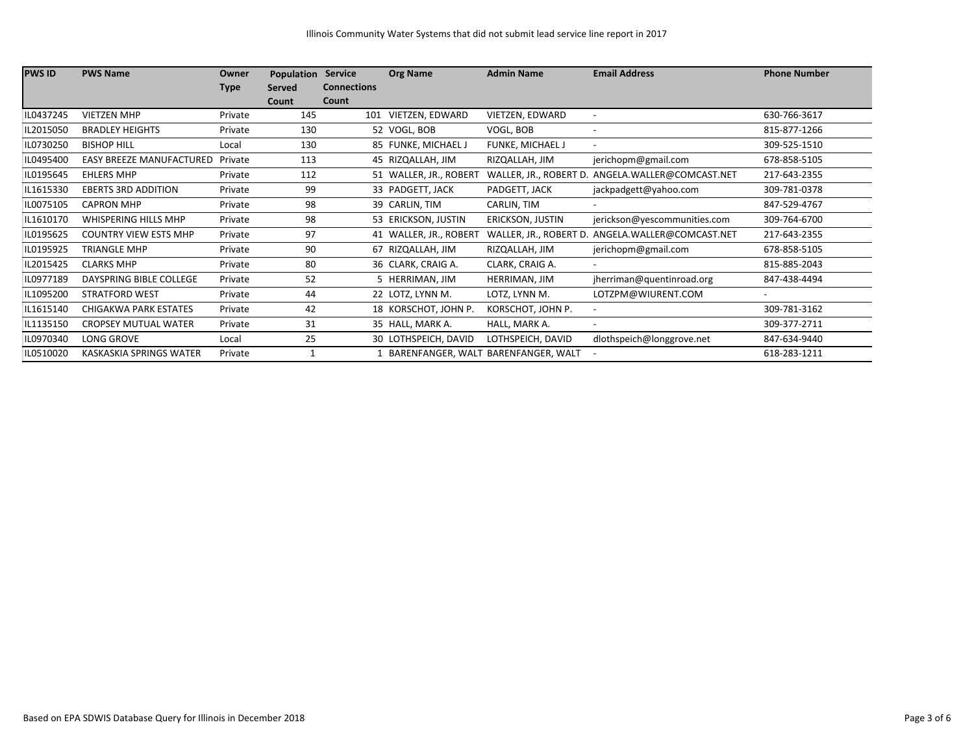| <b>PWS ID</b> | <b>PWS Name</b>                 | Owner       | Population    | <b>Service</b>     | <b>Org Name</b>        | <b>Admin Name</b>                   | <b>Email Address</b>                             | <b>Phone Number</b>      |
|---------------|---------------------------------|-------------|---------------|--------------------|------------------------|-------------------------------------|--------------------------------------------------|--------------------------|
|               |                                 | <b>Type</b> | <b>Served</b> | <b>Connections</b> |                        |                                     |                                                  |                          |
|               |                                 |             | Count         | Count              |                        |                                     |                                                  |                          |
| IL0437245     | <b>VIETZEN MHP</b>              | Private     | 145           | 101                | VIETZEN, EDWARD        | VIETZEN, EDWARD                     | $\overline{\phantom{a}}$                         | 630-766-3617             |
| IL2015050     | <b>BRADLEY HEIGHTS</b>          | Private     | 130           |                    | 52 VOGL, BOB           | VOGL, BOB                           |                                                  | 815-877-1266             |
| IL0730250     | <b>BISHOP HILL</b>              | Local       | 130           |                    | 85 FUNKE, MICHAEL J    | FUNKE, MICHAEL J                    |                                                  | 309-525-1510             |
| IL0495400     | <b>EASY BREEZE MANUFACTURED</b> | Private     | 113           |                    | 45 RIZQALLAH, JIM      | RIZQALLAH, JIM                      | jerichopm@gmail.com                              | 678-858-5105             |
| IL0195645     | <b>EHLERS MHP</b>               | Private     | 112           |                    | 51 WALLER, JR., ROBERT |                                     | WALLER, JR., ROBERT D. ANGELA.WALLER@COMCAST.NET | 217-643-2355             |
| IL1615330     | <b>EBERTS 3RD ADDITION</b>      | Private     | 99            |                    | 33 PADGETT, JACK       | PADGETT, JACK                       | jackpadgett@yahoo.com                            | 309-781-0378             |
| IL0075105     | <b>CAPRON MHP</b>               | Private     | 98            |                    | 39 CARLIN, TIM         | CARLIN, TIM                         |                                                  | 847-529-4767             |
| IL1610170     | WHISPERING HILLS MHP            | Private     | 98            |                    | 53 ERICKSON, JUSTIN    | ERICKSON, JUSTIN                    | jerickson@yescommunities.com                     | 309-764-6700             |
| IL0195625     | <b>COUNTRY VIEW ESTS MHP</b>    | Private     | 97            |                    | 41 WALLER, JR., ROBERT | WALLER, JR., ROBERT D.              | ANGELA.WALLER@COMCAST.NET                        | 217-643-2355             |
| IL0195925     | <b>TRIANGLE MHP</b>             | Private     | 90            |                    | 67 RIZQALLAH, JIM      | RIZQALLAH, JIM                      | jerichopm@gmail.com                              | 678-858-5105             |
| IL2015425     | <b>CLARKS MHP</b>               | Private     | 80            |                    | 36 CLARK, CRAIG A.     | CLARK, CRAIG A.                     | $\overline{\phantom{a}}$                         | 815-885-2043             |
| IL0977189     | DAYSPRING BIBLE COLLEGE         | Private     | 52            |                    | 5 HERRIMAN, JIM        | HERRIMAN, JIM                       | jherriman@quentinroad.org                        | 847-438-4494             |
| IL1095200     | <b>STRATFORD WEST</b>           | Private     | 44            |                    | 22 LOTZ, LYNN M.       | LOTZ, LYNN M.                       | LOTZPM@WIURENT.COM                               | $\overline{\phantom{a}}$ |
| IL1615140     | CHIGAKWA PARK ESTATES           | Private     | 42            |                    | 18 KORSCHOT, JOHN P.   | KORSCHOT, JOHN P.                   |                                                  | 309-781-3162             |
| IL1135150     | <b>CROPSEY MUTUAL WATER</b>     | Private     | 31            |                    | 35 HALL, MARK A.       | HALL, MARK A.                       | $\overline{\phantom{a}}$                         | 309-377-2711             |
| IL0970340     | LONG GROVE                      | Local       | 25            |                    | 30 LOTHSPEICH, DAVID   | LOTHSPEICH, DAVID                   | dlothspeich@longgrove.net                        | 847-634-9440             |
| IL0510020     | KASKASKIA SPRINGS WATER         | Private     |               |                    |                        | BARENFANGER, WALT BARENFANGER, WALT |                                                  | 618-283-1211             |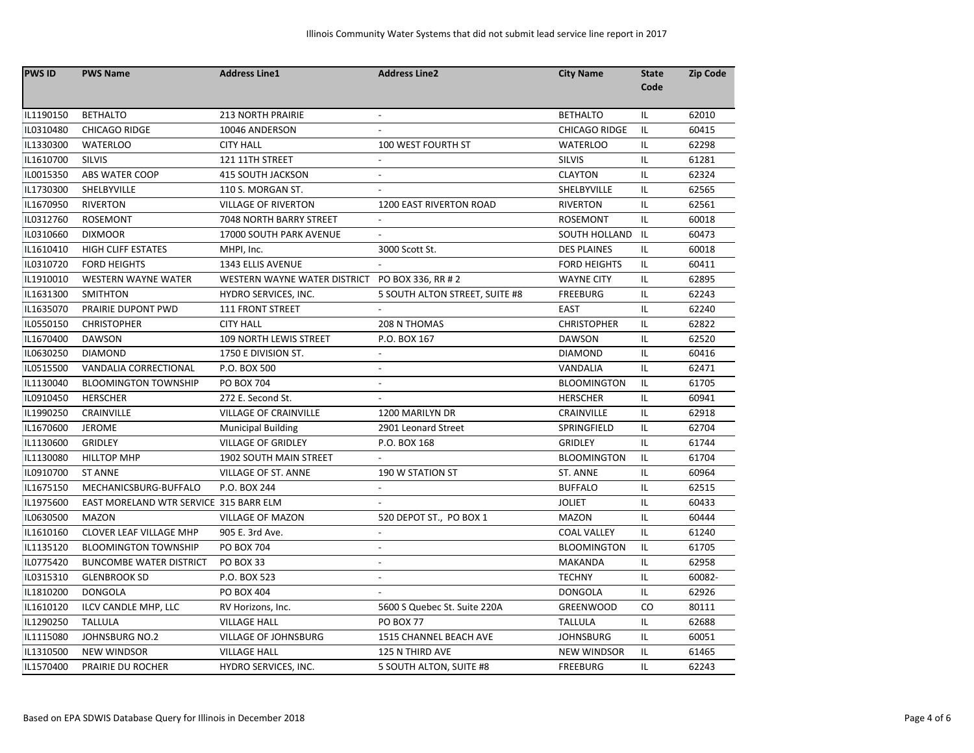| <b>PWS ID</b> | <b>PWS Name</b>                        | <b>Address Line1</b>          | <b>Address Line2</b>           | <b>City Name</b>     | <b>State</b> | <b>Zip Code</b> |
|---------------|----------------------------------------|-------------------------------|--------------------------------|----------------------|--------------|-----------------|
|               |                                        |                               |                                |                      | Code         |                 |
| IL1190150     | <b>BETHALTO</b>                        | <b>213 NORTH PRAIRIE</b>      |                                | <b>BETHALTO</b>      | IL.          | 62010           |
| IL0310480     | <b>CHICAGO RIDGE</b>                   | 10046 ANDERSON                |                                | <b>CHICAGO RIDGE</b> | IL.          | 60415           |
| IL1330300     | <b>WATERLOO</b>                        | <b>CITY HALL</b>              | 100 WEST FOURTH ST             | <b>WATERLOO</b>      | IL           | 62298           |
| IL1610700     | <b>SILVIS</b>                          | 121 11TH STREET               |                                | <b>SILVIS</b>        | IL.          | 61281           |
| IL0015350     | ABS WATER COOP                         | <b>415 SOUTH JACKSON</b>      | $\overline{\phantom{a}}$       | <b>CLAYTON</b>       | IL.          | 62324           |
| IL1730300     | SHELBYVILLE                            | 110 S. MORGAN ST.             |                                | SHELBYVILLE          | IL.          | 62565           |
| IL1670950     | <b>RIVERTON</b>                        | <b>VILLAGE OF RIVERTON</b>    | 1200 EAST RIVERTON ROAD        | <b>RIVERTON</b>      | IL.          | 62561           |
| IL0312760     | ROSEMONT                               | 7048 NORTH BARRY STREET       |                                | <b>ROSEMONT</b>      | IL           | 60018           |
| IL0310660     | <b>DIXMOOR</b>                         | 17000 SOUTH PARK AVENUE       | $\overline{a}$                 | <b>SOUTH HOLLAND</b> | IL.          | 60473           |
| IL1610410     | <b>HIGH CLIFF ESTATES</b>              | MHPI, Inc.                    | 3000 Scott St.                 | <b>DES PLAINES</b>   | IL           | 60018           |
| IL0310720     | <b>FORD HEIGHTS</b>                    | 1343 ELLIS AVENUE             |                                | <b>FORD HEIGHTS</b>  | IL.          | 60411           |
| IL1910010     | <b>WESTERN WAYNE WATER</b>             | WESTERN WAYNE WATER DISTRICT  | PO BOX 336, RR # 2             | <b>WAYNE CITY</b>    | IL.          | 62895           |
| IL1631300     | <b>SMITHTON</b>                        | HYDRO SERVICES, INC.          | 5 SOUTH ALTON STREET, SUITE #8 | <b>FREEBURG</b>      | IL           | 62243           |
| IL1635070     | PRAIRIE DUPONT PWD                     | 111 FRONT STREET              |                                | EAST                 | IL.          | 62240           |
| IL0550150     | <b>CHRISTOPHER</b>                     | <b>CITY HALL</b>              | 208 N THOMAS                   | <b>CHRISTOPHER</b>   | IL.          | 62822           |
| IL1670400     | <b>DAWSON</b>                          | 109 NORTH LEWIS STREET        | P.O. BOX 167                   | <b>DAWSON</b>        | IL.          | 62520           |
| IL0630250     | <b>DIAMOND</b>                         | 1750 E DIVISION ST.           |                                | <b>DIAMOND</b>       | IL.          | 60416           |
| IL0515500     | VANDALIA CORRECTIONAL                  | P.O. BOX 500                  |                                | <b>VANDALIA</b>      | IL.          | 62471           |
| IL1130040     | <b>BLOOMINGTON TOWNSHIP</b>            | <b>PO BOX 704</b>             |                                | <b>BLOOMINGTON</b>   | IL.          | 61705           |
| IL0910450     | <b>HERSCHER</b>                        | 272 E. Second St.             |                                | <b>HERSCHER</b>      | IL.          | 60941           |
| IL1990250     | CRAINVILLE                             | <b>VILLAGE OF CRAINVILLE</b>  | 1200 MARILYN DR                | CRAINVILLE           | IL           | 62918           |
| IL1670600     | <b>JEROME</b>                          | <b>Municipal Building</b>     | 2901 Leonard Street            | SPRINGFIELD          | IL.          | 62704           |
| IL1130600     | <b>GRIDLEY</b>                         | <b>VILLAGE OF GRIDLEY</b>     | P.O. BOX 168                   | <b>GRIDLEY</b>       | IL.          | 61744           |
| IL1130080     | <b>HILLTOP MHP</b>                     | <b>1902 SOUTH MAIN STREET</b> |                                | <b>BLOOMINGTON</b>   | IL.          | 61704           |
| IL0910700     | <b>ST ANNE</b>                         | VILLAGE OF ST. ANNE           | <b>190 W STATION ST</b>        | ST. ANNE             | IL.          | 60964           |
| IL1675150     | MECHANICSBURG-BUFFALO                  | P.O. BOX 244                  |                                | <b>BUFFALO</b>       | IL.          | 62515           |
| IL1975600     | EAST MORELAND WTR SERVICE 315 BARR ELM |                               |                                | <b>JOLIET</b>        | IL.          | 60433           |
| IL0630500     | <b>MAZON</b>                           | <b>VILLAGE OF MAZON</b>       | 520 DEPOT ST., PO BOX 1        | <b>MAZON</b>         | IL.          | 60444           |
| IL1610160     | CLOVER LEAF VILLAGE MHP                | 905 E. 3rd Ave.               | $\overline{a}$                 | <b>COAL VALLEY</b>   | IL.          | 61240           |
| IL1135120     | <b>BLOOMINGTON TOWNSHIP</b>            | <b>PO BOX 704</b>             | $\overline{\phantom{a}}$       | <b>BLOOMINGTON</b>   | IL.          | 61705           |
| IL0775420     | <b>BUNCOMBE WATER DISTRICT</b>         | <b>PO BOX 33</b>              |                                | <b>MAKANDA</b>       | IL.          | 62958           |
| IL0315310     | <b>GLENBROOK SD</b>                    | P.O. BOX 523                  |                                | <b>TECHNY</b>        | IL.          | 60082-          |
| IL1810200     | <b>DONGOLA</b>                         | <b>PO BOX 404</b>             | $\overline{a}$                 | <b>DONGOLA</b>       | IL           | 62926           |
| IL1610120     | ILCV CANDLE MHP, LLC                   | RV Horizons, Inc.             | 5600 S Quebec St. Suite 220A   | <b>GREENWOOD</b>     | CO           | 80111           |
| IL1290250     | <b>TALLULA</b>                         | <b>VILLAGE HALL</b>           | <b>PO BOX 77</b>               | <b>TALLULA</b>       | IL.          | 62688           |
| IL1115080     | <b>JOHNSBURG NO.2</b>                  | VILLAGE OF JOHNSBURG          | 1515 CHANNEL BEACH AVE         | <b>JOHNSBURG</b>     | IL.          | 60051           |
| IL1310500     | <b>NEW WINDSOR</b>                     | <b>VILLAGE HALL</b>           | 125 N THIRD AVE                | <b>NEW WINDSOR</b>   | IL.          | 61465           |
| IL1570400     | PRAIRIE DU ROCHER                      | HYDRO SERVICES, INC.          | 5 SOUTH ALTON, SUITE #8        | <b>FREEBURG</b>      | IL.          | 62243           |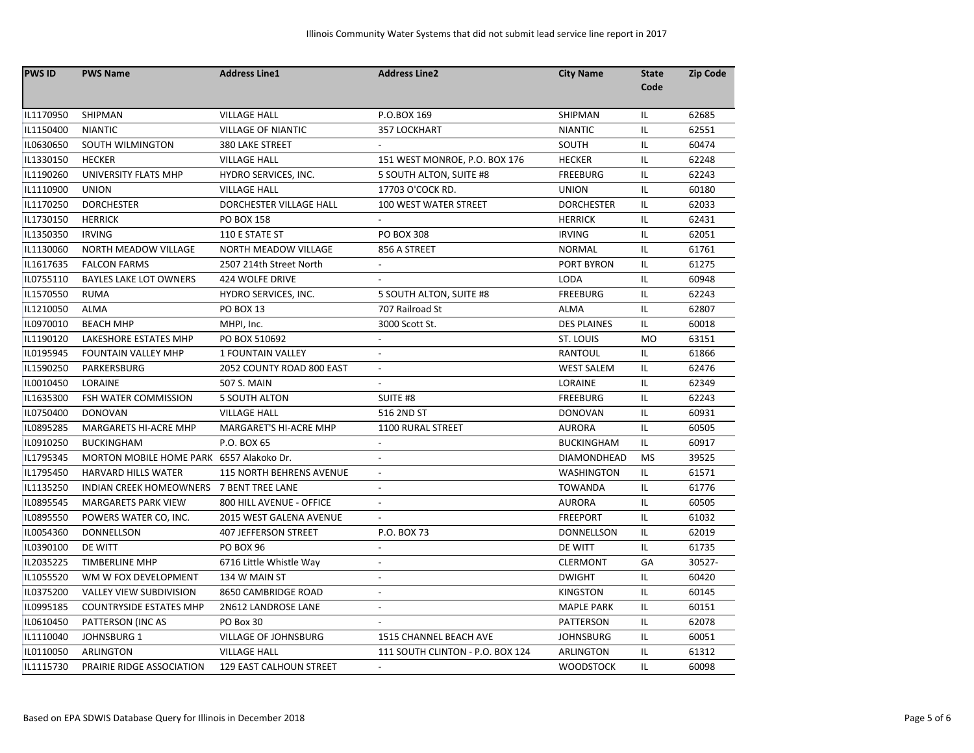| <b>PWS ID</b> | <b>PWS Name</b>                          | <b>Address Line1</b>            | <b>Address Line2</b>             | <b>City Name</b>   | <b>State</b> | <b>Zip Code</b> |
|---------------|------------------------------------------|---------------------------------|----------------------------------|--------------------|--------------|-----------------|
|               |                                          |                                 |                                  |                    | Code         |                 |
| IL1170950     | SHIPMAN                                  | <b>VILLAGE HALL</b>             | P.O.BOX 169                      | SHIPMAN            | IL.          | 62685           |
| IL1150400     | <b>NIANTIC</b>                           | <b>VILLAGE OF NIANTIC</b>       | 357 LOCKHART                     | <b>NIANTIC</b>     | IL.          | 62551           |
| IL0630650     | SOUTH WILMINGTON                         | <b>380 LAKE STREET</b>          |                                  | SOUTH              | IL.          | 60474           |
| IL1330150     | <b>HECKER</b>                            | <b>VILLAGE HALL</b>             | 151 WEST MONROE, P.O. BOX 176    | <b>HECKER</b>      | IL.          | 62248           |
| IL1190260     | UNIVERSITY FLATS MHP                     | HYDRO SERVICES, INC.            | 5 SOUTH ALTON, SUITE #8          | <b>FREEBURG</b>    | IL.          | 62243           |
| IL1110900     | <b>UNION</b>                             | <b>VILLAGE HALL</b>             | 17703 O'COCK RD.                 | <b>UNION</b>       | IL.          | 60180           |
| IL1170250     | <b>DORCHESTER</b>                        | DORCHESTER VILLAGE HALL         | 100 WEST WATER STREET            | <b>DORCHESTER</b>  | IL           | 62033           |
| IL1730150     | <b>HERRICK</b>                           | PO BOX 158                      |                                  | <b>HERRICK</b>     | IL.          | 62431           |
| IL1350350     | <b>IRVING</b>                            | 110 E STATE ST                  | <b>PO BOX 308</b>                | <b>IRVING</b>      | IL           | 62051           |
| IL1130060     | <b>NORTH MEADOW VILLAGE</b>              | <b>NORTH MEADOW VILLAGE</b>     | 856 A STREET                     | <b>NORMAL</b>      | IL.          | 61761           |
| IL1617635     | <b>FALCON FARMS</b>                      | 2507 214th Street North         | $\overline{\phantom{a}}$         | <b>PORT BYRON</b>  | IL.          | 61275           |
| IL0755110     | <b>BAYLES LAKE LOT OWNERS</b>            | 424 WOLFE DRIVE                 |                                  | <b>LODA</b>        | IL.          | 60948           |
| IL1570550     | <b>RUMA</b>                              | HYDRO SERVICES, INC.            | 5 SOUTH ALTON, SUITE #8          | <b>FREEBURG</b>    | IL.          | 62243           |
| IL1210050     | ALMA                                     | <b>PO BOX 13</b>                | 707 Railroad St                  | <b>ALMA</b>        | IL           | 62807           |
| IL0970010     | <b>BEACH MHP</b>                         | MHPI, Inc.                      | 3000 Scott St.                   | <b>DES PLAINES</b> | IL.          | 60018           |
| IL1190120     | LAKESHORE ESTATES MHP                    | PO BOX 510692                   | $\overline{\phantom{a}}$         | ST. LOUIS          | <b>MO</b>    | 63151           |
| IL0195945     | <b>FOUNTAIN VALLEY MHP</b>               | <b>1 FOUNTAIN VALLEY</b>        | $\overline{\phantom{a}}$         | RANTOUL            | IL.          | 61866           |
| IL1590250     | PARKERSBURG                              | 2052 COUNTY ROAD 800 EAST       | $\overline{\phantom{a}}$         | <b>WEST SALEM</b>  | IL.          | 62476           |
| IL0010450     | LORAINE                                  | <b>507 S. MAIN</b>              | $\overline{a}$                   | LORAINE            | IL           | 62349           |
| IL1635300     | FSH WATER COMMISSION                     | <b>5 SOUTH ALTON</b>            | SUITE #8                         | <b>FREEBURG</b>    | IL.          | 62243           |
| IL0750400     | <b>DONOVAN</b>                           | <b>VILLAGE HALL</b>             | 516 2ND ST                       | <b>DONOVAN</b>     | IL.          | 60931           |
| IL0895285     | MARGARETS HI-ACRE MHP                    | MARGARET'S HI-ACRE MHP          | 1100 RURAL STREET                | <b>AURORA</b>      | IL.          | 60505           |
| IL0910250     | <b>BUCKINGHAM</b>                        | P.O. BOX 65                     | $\overline{\phantom{a}}$         | <b>BUCKINGHAM</b>  | IL.          | 60917           |
| IL1795345     | MORTON MOBILE HOME PARK 6557 Alakoko Dr. |                                 | $\overline{\phantom{a}}$         | DIAMONDHEAD        | <b>MS</b>    | 39525           |
| IL1795450     | <b>HARVARD HILLS WATER</b>               | <b>115 NORTH BEHRENS AVENUE</b> | $\blacksquare$                   | <b>WASHINGTON</b>  | IL.          | 61571           |
| IL1135250     | INDIAN CREEK HOMEOWNERS 7 BENT TREE LANE |                                 |                                  | <b>TOWANDA</b>     | IL           | 61776           |
| IL0895545     | <b>MARGARETS PARK VIEW</b>               | 800 HILL AVENUE - OFFICE        |                                  | <b>AURORA</b>      | IL.          | 60505           |
| IL0895550     | POWERS WATER CO, INC.                    | 2015 WEST GALENA AVENUE         | $\mathbb{Z}^2$                   | <b>FREEPORT</b>    | IL.          | 61032           |
| IL0054360     | <b>DONNELLSON</b>                        | <b>407 JEFFERSON STREET</b>     | P.O. BOX 73                      | <b>DONNELLSON</b>  | IL.          | 62019           |
| IL0390100     | DE WITT                                  | <b>PO BOX 96</b>                |                                  | DE WITT            | IL           | 61735           |
| IL2035225     | <b>TIMBERLINE MHP</b>                    | 6716 Little Whistle Way         | $\sim$                           | <b>CLERMONT</b>    | GA           | 30527-          |
| IL1055520     | WM W FOX DEVELOPMENT                     | 134 W MAIN ST                   |                                  | <b>DWIGHT</b>      | IL.          | 60420           |
| IL0375200     | VALLEY VIEW SUBDIVISION                  | 8650 CAMBRIDGE ROAD             |                                  | <b>KINGSTON</b>    | IL.          | 60145           |
| IL0995185     | <b>COUNTRYSIDE ESTATES MHP</b>           | 2N612 LANDROSE LANE             | $\overline{a}$                   | <b>MAPLE PARK</b>  | IL           | 60151           |
| IL0610450     | PATTERSON (INC AS                        | PO Box 30                       |                                  | PATTERSON          | IL.          | 62078           |
| IL1110040     | JOHNSBURG 1                              | VILLAGE OF JOHNSBURG            | 1515 CHANNEL BEACH AVE           | <b>JOHNSBURG</b>   | IL           | 60051           |
| IL0110050     | ARLINGTON                                | <b>VILLAGE HALL</b>             | 111 SOUTH CLINTON - P.O. BOX 124 | ARLINGTON          | IL           | 61312           |
| IL1115730     | PRAIRIE RIDGE ASSOCIATION                | 129 EAST CALHOUN STREET         |                                  | <b>WOODSTOCK</b>   | IL.          | 60098           |